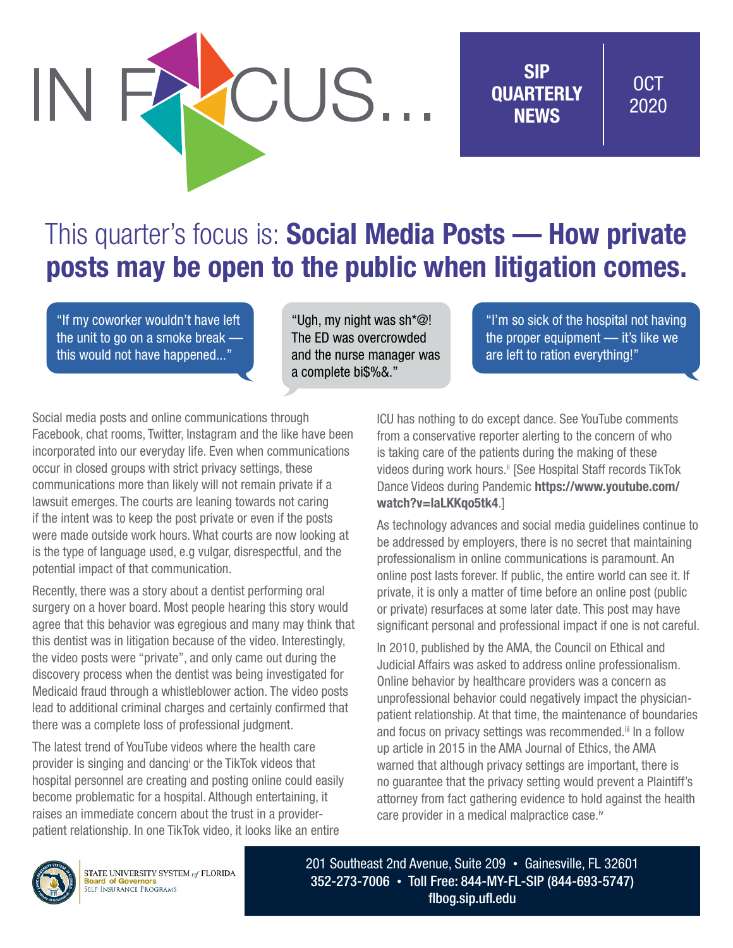# CUS.

SIP **OUARTERLY NEWS** 

## OCT 2020

# This quarter's focus is: **Social Media Posts — How private** posts may be open to the public when litigation comes.

"If my coworker wouldn't have left the unit to go on a smoke break this would not have happened..."

"Ugh, my night was sh\*@! The ED was overcrowded and the nurse manager was a complete bi\$%&."

"I'm so sick of the hospital not having the proper equipment — it's like we are left to ration everything!"

Social media posts and online communications through Facebook, chat rooms, Twitter, Instagram and the like have been incorporated into our everyday life. Even when communications occur in closed groups with strict privacy settings, these communications more than likely will not remain private if a lawsuit emerges. The courts are leaning towards not caring if the intent was to keep the post private or even if the posts were made outside work hours. What courts are now looking at is the type of language used, e.g vulgar, disrespectful, and the potential impact of that communication.

Recently, there was a story about a dentist performing oral surgery on a hover board. Most people hearing this story would agree that this behavior was egregious and many may think that this dentist was in litigation because of the video. Interestingly, the video posts were "private", and only came out during the discovery process when the dentist was being investigated for Medicaid fraud through a whistleblower action. The video posts lead to additional criminal charges and certainly confirmed that there was a complete loss of professional judgment.

The latest trend of YouTube videos where the health care provider is singing and dancing or the TikTok videos that hospital personnel are creating and posting online could easily become problematic for a hospital. Although entertaining, it raises an immediate concern about the trust in a providerpatient relationship. In one TikTok video, it looks like an entire

ICU has nothing to do except dance. See YouTube comments from a conservative reporter alerting to the concern of who is taking care of the patients during the making of these videos during work hours.<sup>ii</sup> [See Hospital Staff records TikTok] Dance Videos during Pandemic [https://www.youtube.com/](https://www.youtube.com/watch?v=laLKKqo5tk4) [watch?v=laLKKqo5tk4](https://www.youtube.com/watch?v=laLKKqo5tk4).]

As technology advances and social media guidelines continue to be addressed by employers, there is no secret that maintaining professionalism in online communications is paramount. An online post lasts forever. If public, the entire world can see it. If private, it is only a matter of time before an online post (public or private) resurfaces at some later date. This post may have significant personal and professional impact if one is not careful.

In 2010, published by the AMA, the Council on Ethical and Judicial Affairs was asked to address online professionalism. Online behavior by healthcare providers was a concern as unprofessional behavior could negatively impact the physicianpatient relationship. At that time, the maintenance of boundaries and focus on privacy settings was recommended.<sup>iii</sup> In a follow up article in 2015 in the AMA Journal of Ethics, the AMA warned that although privacy settings are important, there is no guarantee that the privacy setting would prevent a Plaintiff's attorney from fact gathering evidence to hold against the health care provider in a medical malpractice case.<sup>iv</sup>



STATE UNIVERSITY SYSTEM of FLORIDA **Board of Governors**<br>SELF-INSURANCE PROGRAMS

201 Southeast 2nd Avenue, Suite 209 • Gainesville, FL 32601 352-273-7006 • Toll Free: 844-MY-FL-SIP (844-693-5747) [flbog.sip.ufl.edu](http://flbog.sip.ufl.edu)